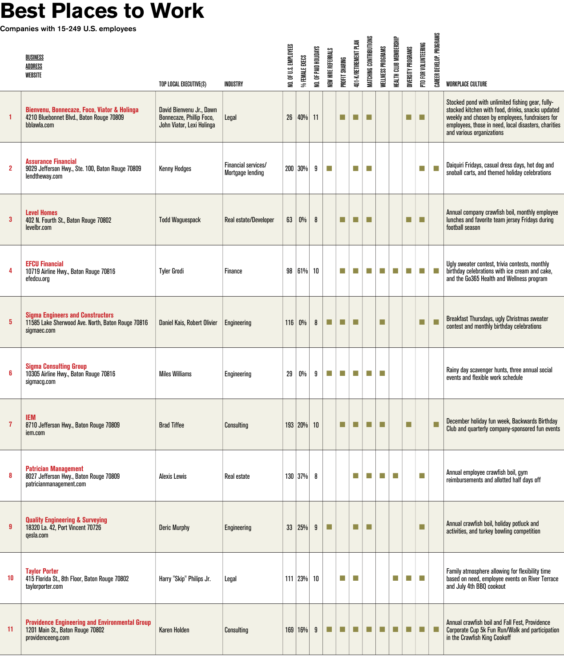## Best Places to Work

Companies with 15-249 U.S. employees

|                | <b>BUSINESS</b><br>ADDRESS<br>WEBSITE                                                                          | TOP LOCAL EXECUTIVE(S)                                                            | INDUSTRY                                       | NO. OF U.S. EMPLOYEES | % FEMALE EXECS   | NO. OF PAID HOLIDAYS | NEW HIRE REFERRALS | PROFIT SHARING              | <b>401-K/RETIREMENT PLAN</b> | MATCHING CONTRIBUTIONS | <b>WELLNESS PROGRAMS</b> | HEALTH CLUB MEMBERSHIP | <b>DIVERSITY PROGRAMS</b>   | PTO FOR VOLUNTEERING        | CAREER DEVELOP. PROGRAMS    | <b>WORKPLACE CULTURE</b>                                                                                                                                                                                                                      |
|----------------|----------------------------------------------------------------------------------------------------------------|-----------------------------------------------------------------------------------|------------------------------------------------|-----------------------|------------------|----------------------|--------------------|-----------------------------|------------------------------|------------------------|--------------------------|------------------------|-----------------------------|-----------------------------|-----------------------------|-----------------------------------------------------------------------------------------------------------------------------------------------------------------------------------------------------------------------------------------------|
| 1              | Bienvenu, Bonnecaze, Foco, Viator & Holinga<br>4210 Bluebonnet Blvd., Baton Rouge 70809<br>bblawla.com         | David Bienvenu Jr., Dawn<br>Bonnecaze, Phillip Foco,<br>John Viator, Lexi Holinga | Legal                                          | 26 <sup>°</sup>       | 40% 11           |                      |                    | n.                          | п                            | п                      |                          |                        | ×.                          | $\mathcal{L}_{\mathcal{A}}$ |                             | Stocked pond with unlimited fishing gear, fully-<br>stocked kitchen with food, drinks, snacks updated<br>weekly and chosen by employees, fundraisers for<br>employees, those in need, local disasters, charities<br>and various organizations |
| $\overline{2}$ | <b>Assurance Financial</b><br>9029 Jefferson Hwy., Ste. 100, Baton Rouge 70809<br>lendtheway.com               | <b>Kenny Hodges</b>                                                               | Financial services/<br><b>Mortgage lending</b> |                       | 200 30%          | 9                    | m.                 |                             | T.                           | a a                    |                          |                        |                             | П                           | п                           | Daiquiri Fridays, casual dress days, hot dog and<br>snoball carts, and themed holiday celebrations                                                                                                                                            |
| $\mathbf{3}$   | <b>Level Homes</b><br>402 N. Fourth St., Baton Rouge 70802<br>levelbr.com                                      | <b>Todd Waquespack</b>                                                            | Real estate/Developer                          | 63                    | $0\%$            | 8                    |                    | n.                          | п                            | a a                    |                          |                        | п                           | п                           |                             | Annual company crawfish boil, monthly employee<br>lunches and favorite team jersey Fridays during<br>football season                                                                                                                          |
| 4              | <b>EFCU Financial</b><br>10719 Airline Hwy., Baton Rouge 70816<br>efedcu.org                                   | <b>Tyler Grodi</b>                                                                | Finance                                        |                       | 98 61% 10        |                      |                    | H.                          | ×.                           | T.                     | $\sim$                   | T.                     | m.                          | m,                          | n.                          | Ugly sweater contest, trivia contests, monthly<br>birthday celebrations with ice cream and cake,<br>and the Go365 Health and Wellness program                                                                                                 |
| 5              | <b>Sigma Engineers and Constructors</b><br>11585 Lake Sherwood Ave. North, Baton Rouge 70816<br>sigmaec.com    | Daniel Kais, Robert Olivier                                                       | Engineering                                    |                       | 116 0%           | 8                    | п                  | ш                           | п                            |                        | п                        |                        |                             | п                           |                             | Breakfast Thursdays, ugly Christmas sweater<br>contest and monthly birthday celebrations                                                                                                                                                      |
| 6              | <b>Sigma Consulting Group</b><br>10305 Airline Hwy., Baton Rouge 70816<br>sigmacg.com                          | <b>Miles Williams</b>                                                             | Engineering                                    | 29                    | 0%               | 9                    | П                  | П                           | m.                           | <b>COL</b>             | m.                       |                        |                             |                             |                             | Rainy day scavenger hunts, three annual social<br>events and flexible work schedule                                                                                                                                                           |
|                | <b>IEM</b><br>8710 Jefferson Hwy., Baton Rouge 70809<br>iem.com                                                | <b>Brad Tiffee</b>                                                                | Consulting                                     |                       | 193 20% 10       |                      |                    | $\mathcal{L}_{\mathcal{A}}$ | <b>COL</b>                   | <b>COL</b>             | <b>COL</b>               |                        | $\mathcal{L}_{\mathcal{A}}$ |                             | ш                           | December holiday fun week, Backwards Birthday<br>Club and quarterly company-sponsored fun events                                                                                                                                              |
| 8              | <b>Patrician Management</b><br>8027 Jefferson Hwy., Baton Rouge 70809<br>patricianmanagement.com               | <b>Alexis Lewis</b>                                                               | Real estate                                    |                       | 130 37% 8        |                      |                    |                             | T.                           | a a                    | <b>Tale</b>              | a.                     |                             | П                           |                             | Annual employee crawfish boil, gym<br>reimbursements and allotted half days off                                                                                                                                                               |
| 9              | <b>Quality Engineering &amp; Surveying</b><br>18320 La. 42, Port Vincent 70726<br>qesla.com                    | <b>Deric Murphy</b>                                                               | Engineering                                    |                       | 33   25%         | 9                    | п                  |                             | п                            | ш                      |                          |                        |                             | П                           |                             | Annual crawfish boil, holiday potluck and<br>activities, and turkey bowling competition                                                                                                                                                       |
| 10             | <b>Taylor Porter</b><br>415 Florida St., 8th Floor, Baton Rouge 70802<br>taylorporter.com                      | Harry "Skip" Philips Jr.                                                          | Legal                                          |                       | $111$   23%   10 |                      |                    | H.                          | m.                           |                        |                          | T.                     | T.                          | m.                          |                             | Family atmosphere allowing for flexibility time<br>based on need, employee events on River Terrace<br>and July 4th BBQ cookout                                                                                                                |
| 11             | <b>Providence Engineering and Environmental Group</b><br>1201 Main St., Baton Rouge 70802<br>providenceeng.com | <b>Karen Holden</b>                                                               | Consulting                                     |                       | 169 16%          | 9                    | L.                 | ш                           |                              | ш                      |                          |                        |                             | ш                           | $\mathcal{L}_{\mathcal{A}}$ | Annual crawfish boil and Fall Fest, Providence<br>Corporate Cup 5k Fun Run/Walk and participation<br>in the Crawfish King Cookoff                                                                                                             |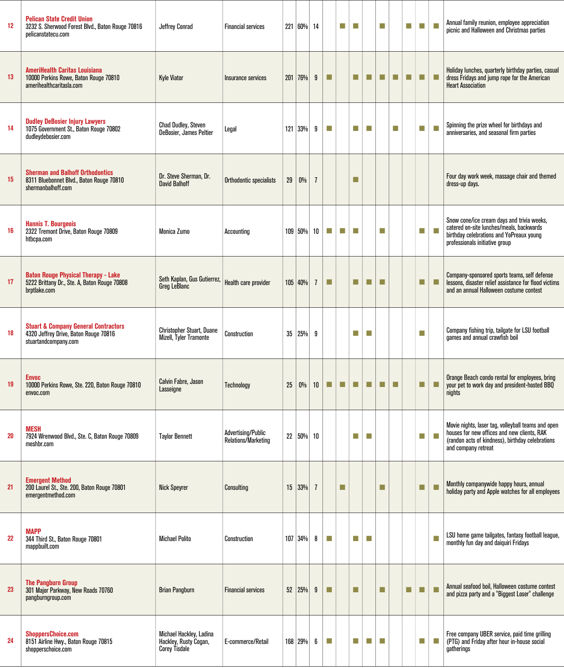| 12 | <b>Pelican State Credit Union</b><br>3232 S. Sherwood Forest Blvd., Baton Rouge 70816<br>pelicanstatecu.com      | <b>Jeffrey Conrad</b>                                                    | <b>Financial services</b>                        |    | 221 60% 14  |                |                             | П  | m.           |    | m.  |    | m. | m. | ×                           | Annual family reunion, employee appreciation<br>picnic and Halloween and Christmas parties                                                                                   |
|----|------------------------------------------------------------------------------------------------------------------|--------------------------------------------------------------------------|--------------------------------------------------|----|-------------|----------------|-----------------------------|----|--------------|----|-----|----|----|----|-----------------------------|------------------------------------------------------------------------------------------------------------------------------------------------------------------------------|
| 13 | <b>AmeriHealth Caritas Louisiana</b><br>10000 Perkins Rowe, Baton Rouge 70810<br>amerihealthcaritasla.com        | <b>Kyle Viator</b>                                                       | Insurance services                               |    | 201 76%     | 9              | п                           |    | п            | п  | п   | ш  | m. | п  | <b>COL</b>                  | Holiday lunches, quarterly birthday parties, casual<br>dress Fridays and jump rope for the American<br><b>Heart Association</b>                                              |
| 14 | <b>Dudley DeBosier Injury Lawyers</b><br>1075 Government St., Baton Rouge 70802<br>dudleydebosier.com            | <b>Chad Dudley, Steven</b><br>DeBosier, James Peltier                    | Legal                                            |    | 121 33%     | 9              | n.                          |    | ×.           | m. |     | m. |    | m, | m.                          | Spinning the prize wheel for birthdays and<br>anniversaries, and seasonal firm parties                                                                                       |
| 15 | <b>Sherman and Balhoff Orthodontics</b><br>8311 Bluebonnet Blvd., Baton Rouge 70810<br>shermanbalhoff.com        | Dr. Steve Sherman, Dr.<br><b>David Balhoff</b>                           | Orthodontic specialists                          | 29 | $0\%$       | $\overline{1}$ |                             |    | ×            |    |     |    |    |    |                             | Four day work week, massage chair and themed<br>dress-up days.                                                                                                               |
| 16 | <b>Hannis T. Bourgeois</b><br>2322 Tremont Drive, Baton Rouge 70809<br>htbcpa.com                                | Monica Zumo                                                              | Accounting                                       |    | 109 50% 10  |                | H.                          | H. | m,           |    | m.  |    |    | n. | ×                           | Snow cone/ice cream days and trivia weeks,<br>catered on-site lunches/meals, backwards<br>birthday celebrations and YoPreaux young<br>professionals initiative group         |
| 17 | <b>Baton Rouge Physical Therapy - Lake</b><br>5222 Brittany Dr., Ste. A, Baton Rouge 70808<br>brptlake.com       | Seth Kaplan, Gus Gutierrez,<br>Greg LeBlanc                              | Health care provider                             |    | 105 40%     | $\overline{1}$ | п                           |    | ш            | п  | a a |    |    | п  | п                           | Company-sponsored sports teams, self defense<br>lessons, disaster relief assistance for flood victims<br>and an annual Halloween costume contest                             |
| 18 | <b>Stuart &amp; Company General Contractors</b><br>4320 Jeffrey Drive, Baton Rouge 70816<br>stuartandcompany.com | Christopher Stuart, Duane<br>Mizell, Tyler Tramonte                      | Construction                                     |    | $35 25\% 9$ |                |                             |    | m.           | m. |     |    |    | m, |                             | Company fishing trip, tailgate for LSU football<br>games and annual crawfish boil                                                                                            |
| 19 | <b>Envoc</b><br>10000 Perkins Rowe, Ste. 220, Baton Rouge 70810<br>envoc.com                                     | Calvin Fabre, Jason<br>Lasseigne                                         | Technology                                       | 25 | $0\%$       | 10             | $\mathcal{L}_{\mathcal{A}}$ | ш  | $\mathbb{Z}$ | ш  | ш   | п  |    | п  | $\mathcal{L}_{\mathcal{A}}$ | Orange Beach condo rental for employees, bring<br>your pet to work day and president-hosted BBQ<br>nights                                                                    |
| 20 | MESH<br>7924 Wrenwood Blvd., Ste. C, Baton Rouge 70809<br>meshbr.com                                             | <b>Taylor Bennett</b>                                                    | <b>Advertisina/Public</b><br>Relations/Marketing |    | 22 50% 10   |                |                             |    | ×.           | m. |     |    |    | H. | n.                          | Movie nights, laser tag, volleyball teams and open<br>houses for new offices and new clients, RAK<br>(randon acts of kindness), birthday celebrations<br>and company retreat |
| 21 | <b>Emergent Method</b><br>200 Laurel St., Ste. 200, Baton Rouge 70801<br>emergentmethod.com                      | <b>Nick Speyrer</b>                                                      | Consulting                                       |    | $15 33\% 7$ |                |                             | ш  |              |    | m.  |    |    | п  | п                           | Monthly companywide happy hours, annual<br>holiday party and Apple watches for all employees                                                                                 |
| 22 | <b>MAPP</b><br>344 Third St., Baton Rouge 70801<br>mappbuilt.com                                                 | <b>Michael Polito</b>                                                    | Construction                                     |    | $107$ 34%   | 8              | n.                          |    | ×.           | ×. |     |    |    |    | H                           | LSU home game tailgates, fantasy football league,<br>monthly fun day and daiguiri Fridays                                                                                    |
| 23 | <b>The Pangburn Group</b><br>301 Major Parkway, New Roads 70760<br>pangburngroup.com                             | <b>Brian Pangburn</b>                                                    | <b>Financial services</b>                        |    | 52   25%    | 9              | п                           |    | ш            |    | a.  |    | ×. | п  | a.                          | Annual seafood boil, Halloween costume contest<br>and pizza party and a "Biggest Loser" challenge                                                                            |
| 24 | <b>ShoppersChoice.com</b><br>8151 Airline Hwy., Baton Rouge 70815<br>shopperschoice.com                          | Michael Hackley, Ladina<br>Hackley, Rusty Cogan,<br><b>Corey Tisdale</b> | E-commerce/Retail                                |    | 168   29%   | 6              | m.                          |    | п            | T. | T.  |    |    | m, | $\mathcal{L}_{\mathcal{A}}$ | Free company UBER service, paid time grilling<br>(PTG) and Friday after hour in-house social<br>gatherings                                                                   |